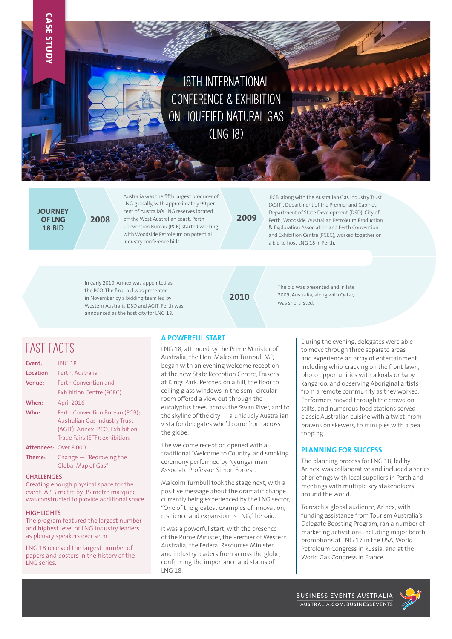# **18th International Conference & Exhibition on Liquefied Natural Gas (LNG 18)**

**JOURNEY OF LNG 18 BID**

**CASE STUDY**

Australia was the fifth largest producer of LNG globally, with approximately 90 per cent of Australia's LNG reserves located **2008** off the West Australian coast. Perth **2009** Convention Bureau (PCB) started working with Woodside Petroleum on potential industry conference bids.

 PCB, along with the Australian Gas Industry Trust (AGIT), Department of the Premier and Cabinet, Department of State Development (DSD), City of Perth, Woodside, Australian Petroleum Production & Exploration Association and Perth Convention and Exhibition Centre (PCEC), worked together on a bid to host LNG 18 in Perth.

In early 2010, Arinex was appointed as the PCO. The final bid was presented in November by a bidding team led by Western Australia DSD and AGIT. Perth was announced as the host city for LNG 18.

**2010**

The bid was presented and in late 2009, Australia, along with Qatar, was shortlisted.

## **FAST FACTS**

| Event:                | <b>LNG 18</b>                                                                                             |
|-----------------------|-----------------------------------------------------------------------------------------------------------|
| Location:             | Perth, Australia                                                                                          |
| Venue:                | Perth Convention and                                                                                      |
|                       | <b>Exhibition Centre (PCEC)</b>                                                                           |
| When:                 | April 2016                                                                                                |
| Who:                  | Perth Convention Bureau (PCB):                                                                            |
|                       | <b>Australian Gas Industry Trust</b><br>(AGIT); Arinex: PCO; Exhibition<br>Trade Fairs (ETF): exhibition. |
| Attendees: Over 8,000 |                                                                                                           |
| Theme:                | Change - "Redrawing the<br>Global Map of Gas"                                                             |

#### **CHALLENGES**

Creating enough physical space for the event. A 55 metre by 35 metre marquee was constructed to provide additional space.

#### **HIGHLIGHTS**

The program featured the largest number and highest level of LNG industry leaders as plenary speakers ever seen.

LNG 18 received the largest number of papers and posters in the history of the LNG series.

### **A POWERFUL START**

LNG 18, attended by the Prime Minister of Australia, the Hon. Malcolm Turnbull MP, began with an evening welcome reception at the new State Reception Centre, Fraser's at Kings Park. Perched on a hill, the floor to ceiling glass windows in the semi-circular room offered a view out through the eucalyptus trees, across the Swan River, and to the skyline of the city  $-$  a uniquely Australian vista for delegates who'd come from across the globe.

The welcome reception opened with a traditional 'Welcome to Country' and smoking ceremony performed by Nyungar man, Associate Professor Simon Forrest.

Malcolm Turnbull took the stage next, with a positive message about the dramatic change currently being experienced by the LNG sector, "One of the greatest examples of innovation, resilience and expansion, is LNG," he said.

It was a powerful start, with the presence of the Prime Minister, the Premier of Western Australia, the Federal Resources Minister, and industry leaders from across the globe, confirming the importance and status of LNG 18.

During the evening, delegates were able to move through three separate areas and experience an array of entertainment including whip-cracking on the front lawn, photo opportunities with a koala or baby kangaroo, and observing Aboriginal artists from a remote community as they worked. Performers moved through the crowd on stilts, and numerous food stations served classic Australian cuisine with a twist: from prawns on skewers, to mini pies with a pea topping.

### **PLANNING FOR SUCCESS**

The planning process for LNG 18, led by Arinex, was collaborative and included a series of briefings with local suppliers in Perth and meetings with multiple key stakeholders around the world.

To reach a global audience, Arinex, with funding assistance from Tourism Australia's Delegate Boosting Program, ran a number of marketing activations including major booth promotions at LNG 17 in the USA, World Petroleum Congress in Russia, and at the World Gas Congress in France.

BUSINESS EVENTS AUSTRALIA AUSTRALIA.COM/BUSINESSEVENTS